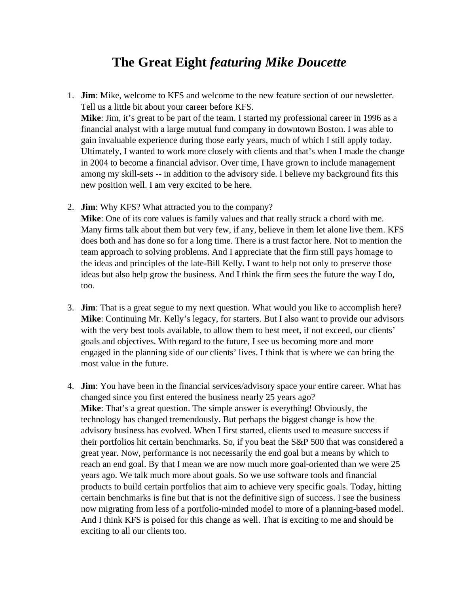## **The Great Eight** *featuring Mike Doucette*

1. **Jim**: Mike, welcome to KFS and welcome to the new feature section of our newsletter. Tell us a little bit about your career before KFS.

**Mike**: Jim, it's great to be part of the team. I started my professional career in 1996 as a financial analyst with a large mutual fund company in downtown Boston. I was able to gain invaluable experience during those early years, much of which I still apply today. Ultimately, I wanted to work more closely with clients and that's when I made the change in 2004 to become a financial advisor. Over time, I have grown to include management among my skill-sets -- in addition to the advisory side. I believe my background fits this new position well. I am very excited to be here.

- 2. **Jim**: Why KFS? What attracted you to the company? **Mike**: One of its core values is family values and that really struck a chord with me. Many firms talk about them but very few, if any, believe in them let alone live them. KFS does both and has done so for a long time. There is a trust factor here. Not to mention the team approach to solving problems. And I appreciate that the firm still pays homage to the ideas and principles of the late-Bill Kelly. I want to help not only to preserve those ideas but also help grow the business. And I think the firm sees the future the way I do, too.
- 3. **Jim**: That is a great segue to my next question. What would you like to accomplish here? **Mike**: Continuing Mr. Kelly's legacy, for starters. But I also want to provide our advisors with the very best tools available, to allow them to best meet, if not exceed, our clients' goals and objectives. With regard to the future, I see us becoming more and more engaged in the planning side of our clients' lives. I think that is where we can bring the most value in the future.
- 4. **Jim**: You have been in the financial services/advisory space your entire career. What has changed since you first entered the business nearly 25 years ago? **Mike**: That's a great question. The simple answer is everything! Obviously, the technology has changed tremendously. But perhaps the biggest change is how the advisory business has evolved. When I first started, clients used to measure success if their portfolios hit certain benchmarks. So, if you beat the S&P 500 that was considered a great year. Now, performance is not necessarily the end goal but a means by which to reach an end goal. By that I mean we are now much more goal-oriented than we were 25 years ago. We talk much more about goals. So we use software tools and financial products to build certain portfolios that aim to achieve very specific goals. Today, hitting certain benchmarks is fine but that is not the definitive sign of success. I see the business now migrating from less of a portfolio-minded model to more of a planning-based model. And I think KFS is poised for this change as well. That is exciting to me and should be exciting to all our clients too.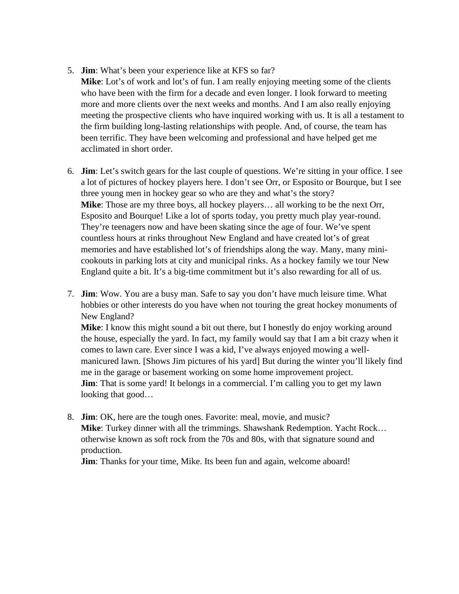- 5. **Jim**: What's been your experience like at KFS so far?
- **Mike**: Lot's of work and lot's of fun. I am really enjoying meeting some of the clients who have been with the firm for a decade and even longer. I look forward to meeting more and more clients over the next weeks and months. And I am also really enjoying meeting the prospective clients who have inquired working with us. It is all a testament to the firm building long-lasting relationships with people. And, of course, the team has been terrific. They have been welcoming and professional and have helped get me acclimated in short order.
- 6. **Jim**: Let's switch gears for the last couple of questions. We're sitting in your office. I see a lot of pictures of hockey players here. I don't see Orr, or Esposito or Bourque, but I see three young men in hockey gear so who are they and what's the story? **Mike**: Those are my three boys, all hockey players… all working to be the next Orr, Esposito and Bourque! Like a lot of sports today, you pretty much play year-round. They're teenagers now and have been skating since the age of four. We've spent countless hours at rinks throughout New England and have created lot's of great memories and have established lot's of friendships along the way. Many, many minicookouts in parking lots at city and municipal rinks. As a hockey family we tour New England quite a bit. It's a big-time commitment but it's also rewarding for all of us.
- 7. **Jim**: Wow. You are a busy man. Safe to say you don't have much leisure time. What hobbies or other interests do you have when not touring the great hockey monuments of New England?

**Mike**: I know this might sound a bit out there, but I honestly do enjoy working around the house, especially the yard. In fact, my family would say that I am a bit crazy when it comes to lawn care. Ever since I was a kid, I've always enjoyed mowing a wellmanicured lawn. [Shows Jim pictures of his yard] But during the winter you'll likely find me in the garage or basement working on some home improvement project. **Jim**: That is some yard! It belongs in a commercial. I'm calling you to get my lawn looking that good…

8. **Jim**: OK, here are the tough ones. Favorite: meal, movie, and music? **Mike**: Turkey dinner with all the trimmings. Shawshank Redemption. Yacht Rock… otherwise known as soft rock from the 70s and 80s, with that signature sound and production.

**Jim**: Thanks for your time, Mike. Its been fun and again, welcome aboard!